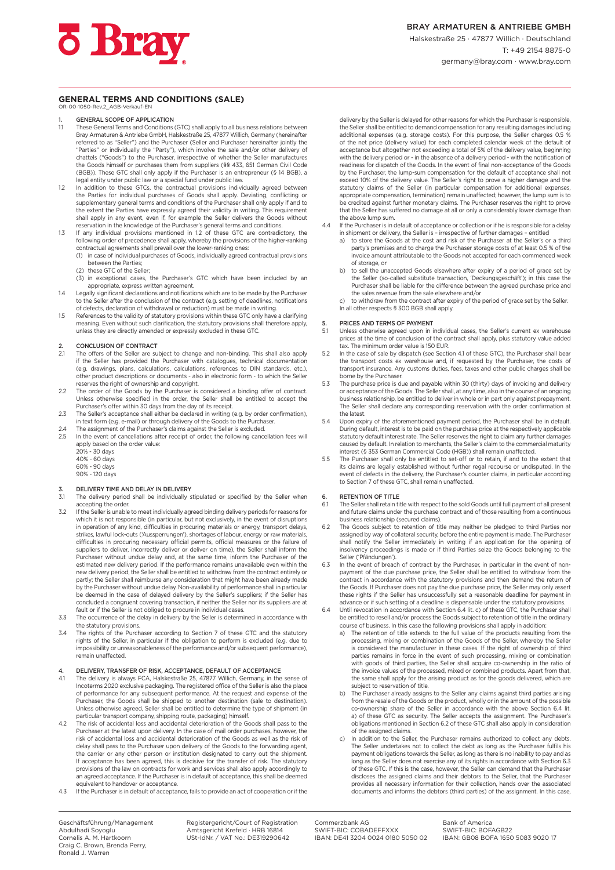#### **GENERAL TERMS AND CONDITIONS (SALE)** OR-00-1050-Rev.2\_AGB-Verkauf-EN

# 1. **GENERAL SCOPE OF APPLICATION**<br>1.1 These General Terms and Conditions

- These General Terms and Conditions (GTC) shall apply to all business relations between Bray Armaturen & Antriebe GmbH, Halskestraße 25, 47877 Willich, Germany (hereinafter referred to as "Seller") and the Purchaser (Seller and Purchaser hereinafter jointly the "Parties" or individually the "Party"), which involve the sale and/or other delivery of chattels ("Goods") to the Purchaser, irrespective of whether the Seller manufactures the Goods himself or purchases them from suppliers (§§ 433, 651 German Civil Code (BGB)). These GTC shall only apply if the Purchaser is an entrepreneur (§ 14 BGB), a legal entity under public law or a special fund under public law.
- In addition to these GTCs, the contractual provisions individually agreed between.<br>the Parties for individual purchases of Goods shall apply. Deviating, conflicting or<br>supplementary general terms and conditions of the Purc the extent the Parties have expressly agreed their validity in writing. This requirement shall apply in any event, even if, for example the Seller delivers the Goods without reservation in the knowledge of the Purchaser's general terms and conditions.
- 1.3 If any individual provisions mentioned in 1.2 of these GTC are contradictory, the following order of precedence shall apply, whereby the provisions of the higher-ranking
	- contractual agreements shall prevail over the lower-ranking ones: (1) in case of individual purchases of Goods, individually agreed contractual provisions
	- between the Parties; (2) these GTC of the Seller;
	- (3) in exceptional cases, the Purchaser's GTC which have been included by an appropriate, express written agreement.
- 1.4 Legally significant declarations and notifications which are to be made by the Purchaser to the Seller after the conclusion of the contract (e.g. setting of deadlines, notifications of defects, declaration of withdrawal or reduction) must be made in writing.
- 1.5 References to the validity of statutory provisions within these GTC only have a clarifying meaning. Even without such clarification, the statutory provisions shall therefore apply, unless they are directly amended or expressly excluded in these GTC.

# 2. CONCLUSION OF CONTRACT<br>2.1 The offers of the Seller are su

- The offers of the Seller are subject to change and non-binding. This shall also apply if the Seller has provided the Purchaser with catalogues, technical documentation (e.g. drawings, plans, calculations, calculations, references to DIN standards, etc.), other product descriptions or documents - also in electronic form - to which the Seller reserves the right of ownership and copyright.
- 2.2 The order of the Goods by the Purchaser is considered a binding offer of contract. Unless otherwise specified in the order, the Seller shall be entitled to accept the Purchaser's offer within 30 days from the day of its receipt.
- 2.3 The Seller's acceptance shall either be declared in writing (e.g. by order confirmation), in text form (e.g. e-mail) or through delivery of the Goods to the Purchaser.
- 2.4 The assignment of the Purchaser's claims against the Seller is excluded.<br>2.5 In the event of cancellations after receipt of order, the following cance
- 2.5 In the event of cancellations after receipt of order, the following cancellation fees will apply based on the order value:
	- 20% 30 days
	- 40% 60 days 60% - 90 days
	- 90% 120 days

#### DELIVERY TIME AND DELAY IN DELIVERY

- 3.1 The delivery period shall be individually stipulated or specified by the Seller when accepting the order.
- 3.2 If the Seller is unable to meet individually agreed binding delivery periods for reasons for which it is not responsible (in particular, but not exclusively, in the event of disruptions in operation of any kind, difficulties in procuring materials or energy, transport delays, strikes, lawful lock-outs ('Aussperrungen'), shortages of labour, energy or raw materials, difficulties in procuring necessary official permits, official measures or the failure of suppliers to deliver, incorrectly deliver or deliver on time), the Seller shall inform the Purchaser without undue delay and, at the same time, inform the Purchaser of the estimated new delivery period. If the performance remains unavailable even within the new delivery period, the Seller shall be entitled to withdraw from the contract entirely or partly; the Seller shall reimburse any consideration that might have been already made by the Purchaser without undue delay. Non-availability of performance shall in particular be deemed in the case of delayed delivery by the Seller's suppliers; if the Seller has concluded a congruent covering transaction, if neither the Seller nor its suppliers are at
- fault or if the Seller is not obliged to procure in individual cases. 3.3 The occurrence of the delay in delivery by the Seller is determined in accordance with the statutory provisions.
- 3.4 The rights of the Purchaser according to Section 7 of these GTC and the statutory rights of the Seller, in particular if the obligation to perform is excluded (e.g. due to impossibility or unreasonableness of the performance and/or subsequent performance), remain unaffected.

#### 4. DELIVERY, TRANSFER OF RISK, ACCEPTANCE, DEFAULT OF ACCEPTANCE<br>41 The delivery is always ECA Halskestraße 25, 47877 Willich Germany in the

- The delivery is always FCA, Halskestraße 25, 47877 Willich, Germany, in the sense of Incoterms 2020 exclusive packaging. The registered office of the Seller is also the place of performance for any subsequent performance. At the request and expense of the<br>Purchaser, the Goods shall be shipped to another destination (sale to destination).<br>Unless otherwise agreed, Seller shall be entitled to dete particular transport company, shipping route, packaging) himself.
- 4.2 The risk of accidental loss and accidental deterioration of the Goods shall pass to the Purchaser at the latest upon delivery. In the case of mail order purchases, however, the risk of accidental loss and accidental deterioration of the Goods as well as the risk of delay shall pass to the Purchaser upon delivery of the Goods to the forwarding agent, the carrier or any other person or institution designated to carry out the shipment. If acceptance has been agreed, this is decisive for the transfer of risk. The statutory provisions of the law on contracts for work and services shall also apply accordingly to an agreed acceptance. If the Purchaser is in default of acceptance, this shall be de equivalent to handover or acceptance.
- 4.3 If the Purchaser is in default of acceptance, fails to provide an act of cooperation or if the

delivery by the Seller is delayed for other reasons for which the Purchaser is responsible, the Seller shall be entitled to demand compensation for any resulting damages including additional expenses (e.g. storage costs). For this purpose, the Seller charges 0.5 % of the net price (delivery value) for each completed calendar week of the default of acceptance but altogether not exceeding a total of 5% of the delivery value, beginning with the delivery period or - in the absence of a delivery period - with the notification of readiness for dispatch of the Goods. In the event of final non-acceptance of the Goods by the Purchaser, the lump-sum compensation for the default of acceptance shall not exceed 10% of the delivery value. The Seller's right to prove a higher damage and the statutory claims of the Seller (in particular compensation for additional expenses, appropriate compensation, termination) remain unaffected; however, the lump sum is to be credited against further monetary claims. The Purchaser reserves the right to prove that the Seller has suffered no damage at all or only a considerably lower damage than the above lump sum.

- 4.4 If the Purchaser is in default of acceptance or collection or if he is responsible for a delay in shipment or delivery, the Seller is – irrespective of further damages – entitled
	- a) to store the Goods at the cost and risk of the Purchaser at the Seller's or a third party's premises and to charge the Purchaser storage costs of at least 0.5 % of the invoice amount attributable to the Goods not accepted for each commenced week of storage, or
	- b) to sell the unaccepted Goods elsewhere after expiry of a period of grace set by the Seller (so-called substitute transaction, 'Deckungsgeschäft'); in this case the Purchaser shall be liable for the difference between the agreed purchase price and the sales revenue from the sale elsewhere and/or
	- c) to withdraw from the contract after expiry of the period of grace set by the Seller. In all other respects § 300 BGB shall apply.

## 5. PRICES AND TERMS OF PAYMENT<br>5.1 Unless otherwise agreed upon in i

- Unless otherwise agreed upon in individual cases, the Seller's current ex warehouse prices at the time of conclusion of the contract shall apply, plus statutory value added tax. The minimum order value is 150 EUR.
- 5.2 In the case of sale by dispatch (see Section 4.1 of these GTC), the Purchaser shall bear the transport costs ex warehouse and, if requested by the Purchaser, the costs of transport insurance. Any customs duties, fees, taxes and other public charges shall be borne by the Purchaser.
- 5.3 The purchase price is due and payable within 30 (thirty) days of invoicing and delivery or acceptance of the Goods. The Seller shall, at any time, also in the course of an ongoing business relationship, be entitled to deliver in whole or in part only against prepayment. The Seller shall declare any corresponding reservation with the order confirmation at the latest.
- 5.4 Upon expiry of the aforementioned payment period, the Purchaser shall be in default. During default, interest is to be paid on the purchase price at the respectively applicable statutory default interest rate. The Seller reserves the right to claim any further damages caused by default. In relation to merchants, the Seller's claim to the commercial maturity interest (§ 353 German Commercial Code (HGB)) shall remain unaffected.
- 5.5 The Purchaser shall only be entitled to set-off or to retain, if and to the extent that its claims are legally established without further regal recourse or undisputed. In the event of defects in the delivery, the Purchaser's counter claims, in particular according to Section 7 of these GTC, shall remain unaffected.

## 6. RETENTION OF TITLE<br>6.1 The Seller shall retain ti

- 6.1 The Seller shall retain title with respect to the sold Goods until full payment of all present and future claims under the purchase contract and of those resulting from a continuous business relationship (secured claims).
- 6.2 The Goods subject to retention of title may neither be pledged to third Parties nor assigned by way of collateral security, before the entire payment is made. The Purchaser shall notify the Seller immediately in writing if an application for the opening of insolvency proceedings is made or if third Parties seize the Goods belonging to the Seller ('Pfändungen').
- 6.3 In the event of breach of contract by the Purchaser, in particular in the event of nonpayment of the due purchase price, the Seller shall be entitled to withdraw from the contract in accordance with the statutory provisions and then demand the return of the Goods. If Purchaser does not pay the due purchase price, the Seller may only assert these rights if the Seller has unsuccessfully set a reasonable deadline for payment in advance or if such setting of a deadline is dispensable under the statutory provisions.
- 6.4 Until revocation in accordance with Section 6.4 lit. c) of these GTC, the Purchaser shall be entitled to resell and/or process the Goods subject to retention of title in the ordinary
	- course of business. In this case the following provisions shall apply in addition: a) The retention of title extends to the full value of the products resulting from the processing, mixing or combination of the Goods of the Seller, whereby the Seller is considered the manufacturer in these cases. If the right of ownership of third parties remains in force in the event of such processing, mixing or combination with goods of third parties, the Seller shall acquire co-ownership in the ratio of the invoice values of the processed, mixed or combined products. Apart from that, the same shall apply for the arising product as for the goods delivered, which are subject to reservation of title.
	- b) The Purchaser already assigns to the Seller any claims against third parties arising from the resale of the Goods or the product, wholly or in the amount of the possible co-ownership share of the Seller in accordance with the above Section 6.4 lit. a) of these GTC as security. The Seller accepts the assignment. The Purchaser's obligations mentioned in Section 6.2 of these GTC shall also apply in consideration of the assigned claims.
	- In addition to the Seller, the Purchaser remains authorized to collect any debts. The Seller undertakes not to collect the debt as long as the Purchaser fulfils his payment obligations towards the Seller, as long as there is no inability to pay and as long as the Seller does not exercise any of its rights in accordance with Section 6.3 of these GTC. If this is the case, however, the Seller can demand that the Purchaser discloses the assigned claims and their debtors to the Seller, that the Purchaser provides all necessary information for their collection, hands over the associated documents and informs the debtors (third parties) of the assignment. In this case,

Geschäftsführung/Management Abdulhadi Soyoglu Cornelis A. M. Hartkoorn Craig C. Brown, Brenda Perry, Ronald J. Warren

Registergericht/Court of Registration Amtsgericht Krefeld · HRB 16814 USt-IdNr. / VAT No.: DE319290642

Commerzbank AG SWIFT-BIC: COBADEFFXXX IBAN: DE41 3204 0024 0180 5050 02